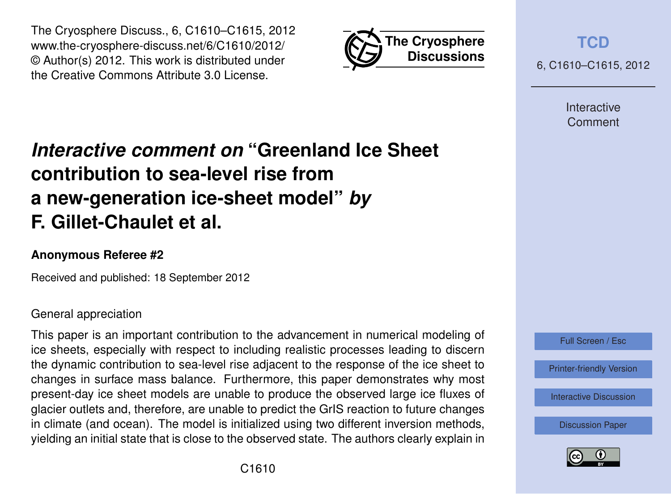



**[TCD](http://www.the-cryosphere-discuss.net)** 6, C1610–C1615, 2012

> Interactive Comment

# *Interactive comment on* **"Greenland Ice Sheet contribution to sea-level rise from a new-generation ice-sheet model"** *by* **F. Gillet-Chaulet et al.**

#### **Anonymous Referee #2**

Received and published: 18 September 2012

#### General appreciation

This paper is an important contribution to the advancement in numerical modeling of ice sheets, especially with respect to including realistic processes leading to discern the dynamic contribution to sea-level rise adjacent to the response of the ice sheet to changes in surface mass balance. Furthermore, this paper demonstrates why most present-day ice sheet models are unable to produce the observed large ice fluxes of glacier outlets and, therefore, are unable to predict the GrIS reaction to future changes in climate (and ocean). The model is initialized using two different inversion methods, yielding an initial state that is close to the observed state. The authors clearly explain in



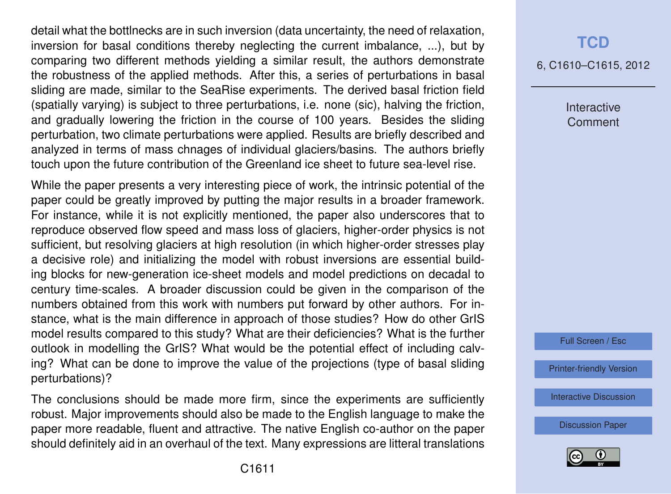detail what the bottlnecks are in such inversion (data uncertainty, the need of relaxation, inversion for basal conditions thereby neglecting the current imbalance, ...), but by comparing two different methods yielding a similar result, the authors demonstrate the robustness of the applied methods. After this, a series of perturbations in basal sliding are made, similar to the SeaRise experiments. The derived basal friction field (spatially varying) is subject to three perturbations, i.e. none (sic), halving the friction, and gradually lowering the friction in the course of 100 years. Besides the sliding perturbation, two climate perturbations were applied. Results are briefly described and analyzed in terms of mass chnages of individual glaciers/basins. The authors briefly touch upon the future contribution of the Greenland ice sheet to future sea-level rise.

While the paper presents a very interesting piece of work, the intrinsic potential of the paper could be greatly improved by putting the major results in a broader framework. For instance, while it is not explicitly mentioned, the paper also underscores that to reproduce observed flow speed and mass loss of glaciers, higher-order physics is not sufficient, but resolving glaciers at high resolution (in which higher-order stresses play a decisive role) and initializing the model with robust inversions are essential building blocks for new-generation ice-sheet models and model predictions on decadal to century time-scales. A broader discussion could be given in the comparison of the numbers obtained from this work with numbers put forward by other authors. For instance, what is the main difference in approach of those studies? How do other GrIS model results compared to this study? What are their deficiencies? What is the further outlook in modelling the GrIS? What would be the potential effect of including calving? What can be done to improve the value of the projections (type of basal sliding perturbations)?

The conclusions should be made more firm, since the experiments are sufficiently robust. Major improvements should also be made to the English language to make the paper more readable, fluent and attractive. The native English co-author on the paper should definitely aid in an overhaul of the text. Many expressions are litteral translations

## **[TCD](http://www.the-cryosphere-discuss.net)**

6, C1610–C1615, 2012

Interactive **Comment** 

Full Screen / Esc

[Printer-friendly Version](http://www.the-cryosphere-discuss.net/6/C1610/2012/tcd-6-C1610-2012-print.pdf)

[Interactive Discussion](http://www.the-cryosphere-discuss.net/6/2789/2012/tcd-6-2789-2012-discussion.html)

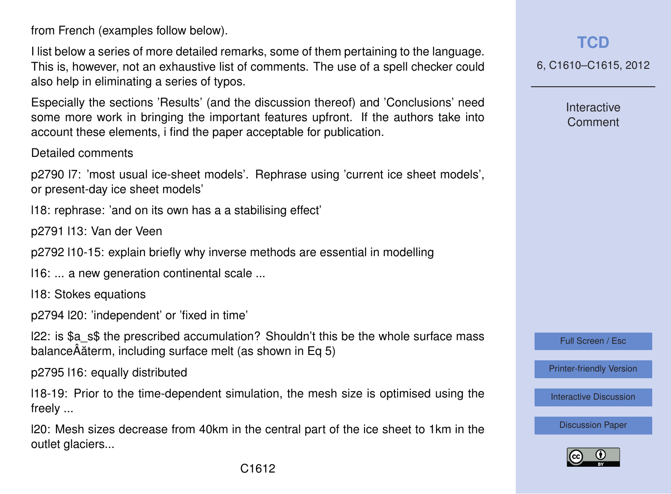from French (examples follow below).

I list below a series of more detailed remarks, some of them pertaining to the language. This is, however, not an exhaustive list of comments. The use of a spell checker could also help in eliminating a series of typos.

Especially the sections 'Results' (and the discussion thereof) and 'Conclusions' need some more work in bringing the important features upfront. If the authors take into account these elements, i find the paper acceptable for publication.

Detailed comments

p2790 l7: 'most usual ice-sheet models'. Rephrase using 'current ice sheet models', or present-day ice sheet models'

l18: rephrase: 'and on its own has a a stabilising effect'

p2791 l13: Van der Veen

p2792 l10-15: explain briefly why inverse methods are essential in modelling

l16: ... a new generation continental scale ...

l18: Stokes equations

p2794 l20: 'independent' or 'fixed in time'

l22: is \$a\_s\$ the prescribed accumulation? Shouldn't this be the whole surface mass balanceÂăterm, including surface melt (as shown in Eq 5)

p2795 l16: equally distributed

l18-19: Prior to the time-dependent simulation, the mesh size is optimised using the freely ...

l20: Mesh sizes decrease from 40km in the central part of the ice sheet to 1km in the outlet glaciers...

**[TCD](http://www.the-cryosphere-discuss.net)**

6, C1610–C1615, 2012

Interactive Comment

Full Screen / Esc

[Printer-friendly Version](http://www.the-cryosphere-discuss.net/6/C1610/2012/tcd-6-C1610-2012-print.pdf)

[Interactive Discussion](http://www.the-cryosphere-discuss.net/6/2789/2012/tcd-6-2789-2012-discussion.html)

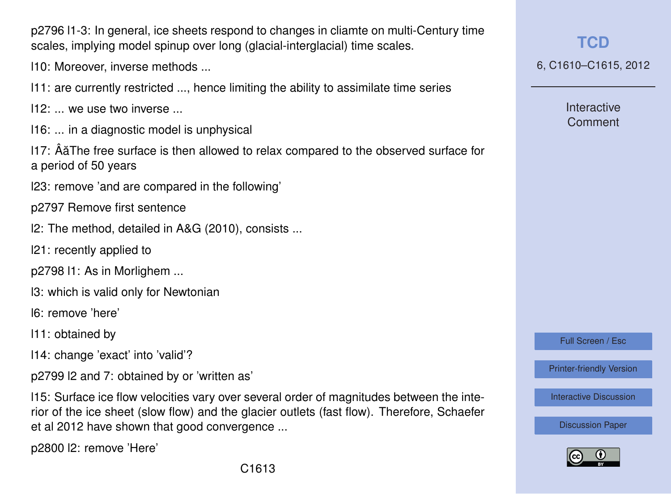p2796 l1-3: In general, ice sheets respond to changes in cliamte on multi-Century time scales, implying model spinup over long (glacial-interglacial) time scales.

l10: Moreover, inverse methods ...

- l11: are currently restricted ..., hence limiting the ability to assimilate time series
- $112:$  we use two inverse
- l16: ... in a diagnostic model is unphysical

l17: ÂaThe free surface is then allowed to relax compared to the observed surface for ˘ a period of 50 years

l23: remove 'and are compared in the following'

p2797 Remove first sentence

- l2: The method, detailed in A&G (2010), consists ...
- l21: recently applied to

p2798 l1: As in Morlighem ...

l3: which is valid only for Newtonian

l6: remove 'here'

- l11: obtained by
- l14: change 'exact' into 'valid'?

p2799 l2 and 7: obtained by or 'written as'

l15: Surface ice flow velocities vary over several order of magnitudes between the interior of the ice sheet (slow flow) and the glacier outlets (fast flow). Therefore, Schaefer et al 2012 have shown that good convergence ...

p2800 l2: remove 'Here'

6, C1610–C1615, 2012

**Interactive** Comment

Full Screen / Esc

[Printer-friendly Version](http://www.the-cryosphere-discuss.net/6/C1610/2012/tcd-6-C1610-2012-print.pdf)

[Interactive Discussion](http://www.the-cryosphere-discuss.net/6/2789/2012/tcd-6-2789-2012-discussion.html)

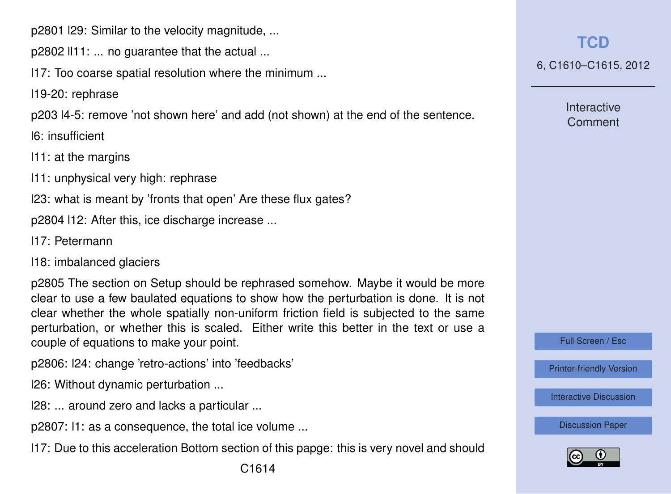p2801 l29: Similar to the velocity magnitude, ...

p2802 ll11: ... no guarantee that the actual ...

l17: Too coarse spatial resolution where the minimum ...

l19-20: rephrase

p203 l4-5: remove 'not shown here' and add (not shown) at the end of the sentence.

l6: insufficient

l11: at the margins

l11: unphysical very high: rephrase

l23: what is meant by 'fronts that open' Are these flux gates?

p2804 l12: After this, ice discharge increase ...

- l17: Petermann
- l18: imbalanced glaciers

p2805 The section on Setup should be rephrased somehow. Maybe it would be more clear to use a few baulated equations to show how the perturbation is done. It is not clear whether the whole spatially non-uniform friction field is subjected to the same perturbation, or whether this is scaled. Either write this better in the text or use a couple of equations to make your point.

p2806: l24: change 'retro-actions' into 'feedbacks'

l26: Without dynamic perturbation ...

l28: ... around zero and lacks a particular ...

p2807: l1: as a consequence, the total ice volume ...

l17: Due to this acceleration Bottom section of this papge: this is very novel and should

### **[TCD](http://www.the-cryosphere-discuss.net)**

6, C1610–C1615, 2012

Interactive Comment

Full Screen / Esc

[Printer-friendly Version](http://www.the-cryosphere-discuss.net/6/C1610/2012/tcd-6-C1610-2012-print.pdf)

[Interactive Discussion](http://www.the-cryosphere-discuss.net/6/2789/2012/tcd-6-2789-2012-discussion.html)